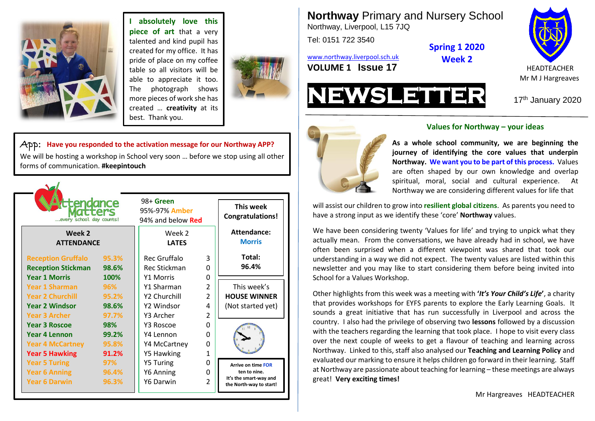

 $\bar{a}$ 

**I absolutely love this piece of art** that a very talented and kind pupil has created for my office. It has pride of place on my coffee table so all visitors will be able to appreciate it too. The photograph shows more pieces of work she has created … **creativity** at its best. Thank you.



App: **Have you responded to the activation message for our Northway APP?** We will be hosting a workshop in School very soon … before we stop using all other forms of communication. **#keepintouch**

| tendance:<br>every school day counts!<br>Week 2<br><b>ATTENDANCE</b>                              |                                | 98+ Green<br>95%-97% Amber<br>94% and below Red<br>Week 2<br><b>LATES</b> |                                                        | This week<br><b>Congratulations!</b><br><b>Attendance:</b><br><b>Morris</b>                    |
|---------------------------------------------------------------------------------------------------|--------------------------------|---------------------------------------------------------------------------|--------------------------------------------------------|------------------------------------------------------------------------------------------------|
| <b>Reception Gruffalo</b><br><b>Reception Stickman</b><br><b>Year 1 Morris</b>                    | 95.3%<br>98.6%<br>100%         | Rec Gruffalo<br>Rec Stickman<br><b>Y1 Morris</b>                          | 3<br>O<br>0                                            | Total:<br>96.4%                                                                                |
| <b>Year 1 Sharman</b><br><b>Year 2 Churchill</b><br><b>Year 2 Windsor</b><br><b>Year 3 Archer</b> | 96%<br>95.2%<br>98.6%<br>97.7% | Y1 Sharman<br>Y2 Churchill<br>Y2 Windsor<br>Y3 Archer                     | $\overline{2}$<br>$\overline{2}$<br>4<br>$\mathcal{P}$ | This week's<br><b>HOUSE WINNER</b><br>(Not started yet)                                        |
| <b>Year 3 Roscoe</b><br><b>Year 4 Lennon</b><br><b>Year 4 McCartney</b><br><b>Year 5 Hawking</b>  | 98%<br>99.2%<br>95.8%<br>91.2% | Y3 Roscoe<br>Y4 Lennon<br>Y4 McCartney<br><b>Y5 Hawking</b>               | 0<br>0<br>0<br>1                                       |                                                                                                |
| <b>Year 5 Turing</b><br><b>Year 6 Anning</b><br><b>Year 6 Darwin</b>                              | 97%<br>96.4%<br>96.3%          | <b>Y5 Turing</b><br>Y6 Anning<br>Y6 Darwin                                | 0<br>0<br>2                                            | <b>Arrive on time FOR</b><br>ten to nine.<br>It's the smart-way and<br>the North-way to start! |

**Northway** Primary and Nursery School Northway, Liverpool, L15 7JQ

Tel: 0151 722 3540

[www.northway.liverpool.sch.uk](http://www.northway.liverpool.sch.uk/) **VOLUME 1 ISSUE 17** HEADTEACHER



**NEWSLETTER** <sup>17</sup>th January <sup>2020</sup>



### **Values for Northway – your ideas**

**Spring 1 2020 Week 2**

spiritual, moral, social and cultural experience. At **As a whole school community, we are beginning the journey of identifying the core values that underpin Northway. We want you to be part of this process.** Values are often shaped by our own knowledge and overlap Northway we are considering different values for life that

will assist our children to grow into **resilient global citizens**. As parents you need to have a strong input as we identify these 'core' **Northway** values.

We have been considering twenty 'Values for life' and trying to unpick what they actually mean. From the conversations, we have already had in school, we have often been surprised when a different viewpoint was shared that took our understanding in a way we did not expect. The twenty values are listed within this newsletter and you may like to start considering them before being invited into School for a Values Workshop.

Other highlights from this week was a meeting with **'***It's Your Child's Life***'**, a charity that provides workshops for EYFS parents to explore the Early Learning Goals. It sounds a great initiative that has run successfully in Liverpool and across the country. I also had the privilege of observing two **lessons** followed by a discussion with the teachers regarding the learning that took place. I hope to visit every class over the next couple of weeks to get a flavour of teaching and learning across Northway. Linked to this, staff also analysed our **Teaching and Learning Policy** and evaluated our marking to ensure it helps children go forward in their learning. Staff at Northway are passionate about teaching for learning – these meetings are always great! **Very exciting times!**

Mr Hargreaves HEADTEACHER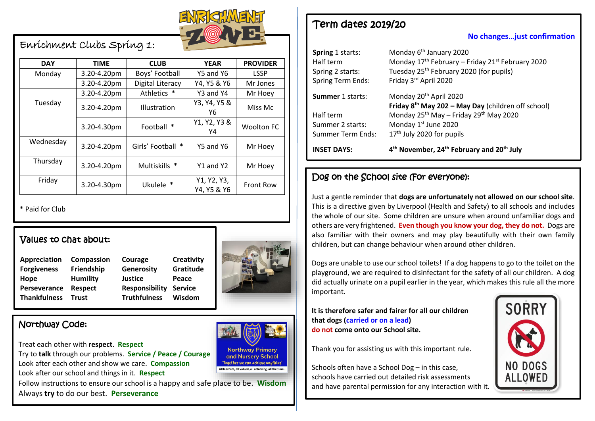

Enrichment Clubs Spring 1:

| <b>DAY</b> | <b>TIME</b> | <b>CLUB</b>               | <b>YEAR</b>                | <b>PROVIDER</b>   |
|------------|-------------|---------------------------|----------------------------|-------------------|
| Monday     | 3.20-4.20pm | Boys' Football            | Y5 and Y6                  | <b>LSSP</b>       |
|            | 3.20-4.20pm | Digital Literacy          | Y4, Y5 & Y6                | Mr Jones          |
|            | 3.20-4.20pm | Athletics                 | Y3 and Y4                  | Mr Hoey           |
| Tuesday    | 3.20-4.20pm | <b>Illustration</b>       | Y3, Y4, Y5 &<br>Υ6         | Miss Mc           |
|            | 3.20-4.30pm | Football<br>∗             | Y1, Y2, Y3 &<br>Y4         | <b>Woolton FC</b> |
| Wednesday  | 3.20-4.20pm | Girls' Football<br>$\ast$ | Y5 and Y6                  | Mr Hoey           |
| Thursday   | 3.20-4.20pm | Multiskills *             | Y1 and Y2                  | Mr Hoey           |
| Friday     | 3.20-4.30pm | Ukulele *                 | Y1, Y2, Y3,<br>Y4, Y5 & Y6 | <b>Front Row</b>  |

\* Paid for Club

## Values to chat about:

| Appreciation        | Compassion      | Courage                      | Creati |
|---------------------|-----------------|------------------------------|--------|
| <b>Forgiveness</b>  | Friendship      | Generosity                   | Gratit |
| Hope                | <b>Humility</b> | <b>Justice</b>               | Peace  |
| Perseverance        | <b>Respect</b>  | <b>Responsibility Servic</b> |        |
| <b>Thankfulness</b> | <b>Trust</b>    | <b>Truthfulness</b>          | Wisdc  |

**Appreciation Compassion Courage Creativity Forgiveness Friendship Generosity Gratitude Perseverance Respect Responsibility Service Thankfulness Trust Truthfulness Wisdom**



**Northway Primary** and Nursery School 'Together we can achieve anything'

All learners, all valued, all achieving, all the time.

## Northway Code:

Treat each other with **respect**. **Respect**

Try to **talk** through our problems. **Service / Peace / Courage** Look after each other and show we care. **Compassion** Look after our school and things in it. **Respect**

Follow instructions to ensure our school is a happy and safe place to be. **Wisdom** Always **try** to do our best. **Perseverance**

Term dates 2019/20

**No changes…just confirmation** 

| <b>INSET DAYS:</b>       | 4 <sup>th</sup> November, 24 <sup>th</sup> February and 20 <sup>th</sup> July |  |
|--------------------------|-------------------------------------------------------------------------------|--|
| Summer Term Ends:        | 17 <sup>th</sup> July 2020 for pupils                                         |  |
| Summer 2 starts:         | Monday 1st June 2020                                                          |  |
| Half term                | Monday 25 <sup>th</sup> May - Friday 29 <sup>th</sup> May 2020                |  |
|                          | Friday 8 <sup>th</sup> May 202 - May Day (children off school)                |  |
| <b>Summer</b> 1 starts:  | Monday 20 <sup>th</sup> April 2020                                            |  |
| <b>Spring Term Ends:</b> | Friday 3rd April 2020                                                         |  |
| Spring 2 starts:         | Tuesday 25 <sup>th</sup> February 2020 (for pupils)                           |  |
| Half term                | Monday 17 <sup>th</sup> February - Friday 21 <sup>st</sup> February 2020      |  |
| Spring 1 starts:         | Monday 6 <sup>th</sup> January 2020                                           |  |

# Dog on the School site (For everyone):

Just a gentle reminder that **dogs are unfortunately not allowed on our school site**. This is a directive given by Liverpool (Health and Safety) to all schools and includes the whole of our site. Some children are unsure when around unfamiliar dogs and others are very frightened. **Even though you know your dog, they do not.** Dogs are also familiar with their owners and may play beautifully with their own family children, but can change behaviour when around other children.

Dogs are unable to use our school toilets! If a dog happens to go to the toilet on the playground, we are required to disinfectant for the safety of all our children. A dog did actually urinate on a pupil earlier in the year, which makes this rule all the more important.

**It is therefore safer and fairer for all our children that dogs (carried or on a lead) do not come onto our School site.**

Thank you for assisting us with this important rule.

Schools often have a School Dog – in this case, schools have carried out detailed risk assessments and have parental permission for any interaction with it.